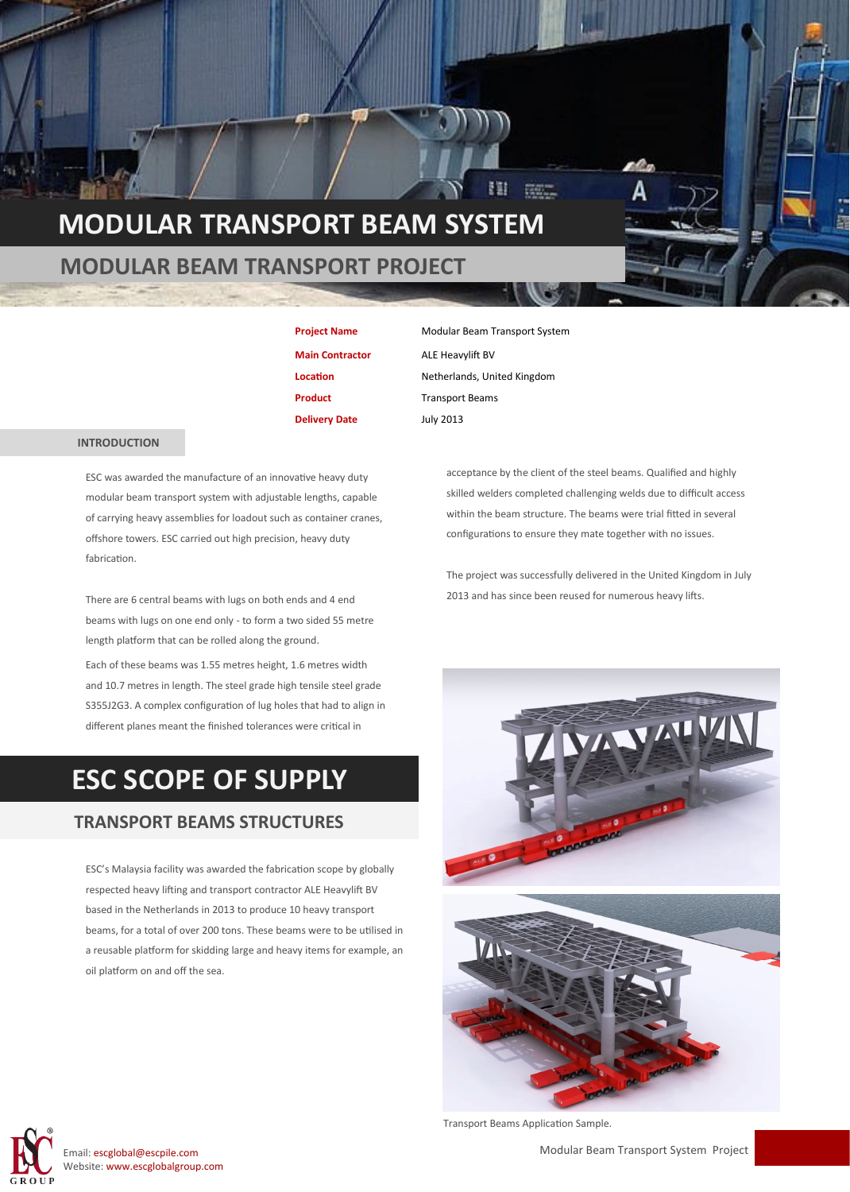### **MODULAR TRANSPORT BEAM SYSTEM**

#### **MODULAR BEAM TRANSPORT PROJECT**

**Main Contractor** ALE Heavylift BV **Delivery Date** July 2013

 **INTRODUCTION**

ESC was awarded the manufacture of an innovative heavy duty modular beam transport system with adjustable lengths, capable of carrying heavy assemblies for loadout such as container cranes, offshore towers. ESC carried out high precision, heavy duty fabrication.

There are 6 central beams with lugs on both ends and 4 end beams with lugs on one end only - to form a two sided 55 metre length platform that can be rolled along the ground.

Each of these beams was 1.55 metres height, 1.6 metres width and 10.7 metres in length. The steel grade high tensile steel grade S355J2G3. A complex configuration of lug holes that had to align in different planes meant the finished tolerances were critical in

## **ESC SCOPE OF SUPPLY**

#### **TRANSPORT BEAMS STRUCTURES**

ESC's Malaysia facility was awarded the fabrication scope by globally respected heavy lifting and transport contractor ALE Heavylift BV based in the Netherlands in 2013 to produce 10 heavy transport beams, for a total of over 200 tons. These beams were to be utilised in a reusable platform for skidding large and heavy items for example, an oil platform on and off the sea.

**Project Name** Modular Beam Transport System **Location Netherlands**, United Kingdom **Product** Transport Beams

> acceptance by the client of the steel beams. Qualified and highly skilled welders completed challenging welds due to difficult access within the beam structure. The beams were trial fitted in several configurations to ensure they mate together with no issues.

The project was successfully delivered in the United Kingdom in July 2013 and has since been reused for numerous heavy lifts.





Modular Beam Transport System Project